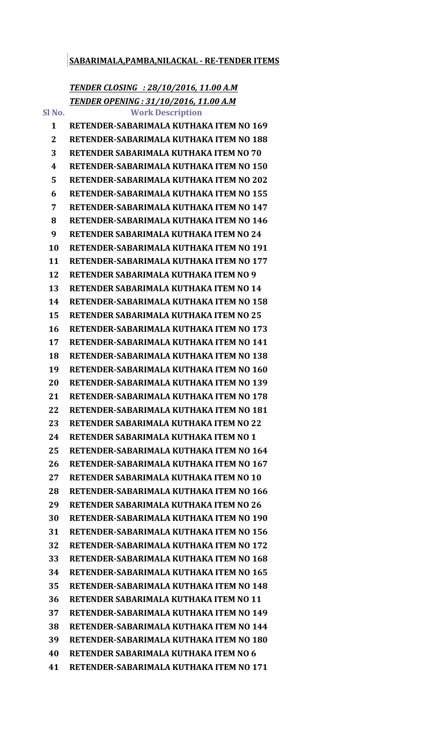## **SABARIMALA,PAMBA,NILACKAL - RE-TENDER ITEMS**

## *TENDER CLOSING : 28/10/2016, 11.00 A.M TENDER OPENING : 31/10/2016, 11.00 A.M*

**Sl No. Work Description RETENDER-SABARIMALA KUTHAKA ITEM NO 169 RETENDER-SABARIMALA KUTHAKA ITEM NO 188 RETENDER SABARIMALA KUTHAKA ITEM NO 70 RETENDER-SABARIMALA KUTHAKA ITEM NO 150 RETENDER-SABARIMALA KUTHAKA ITEM NO 202 RETENDER-SABARIMALA KUTHAKA ITEM NO 155 RETENDER-SABARIMALA KUTHAKA ITEM NO 147 RETENDER-SABARIMALA KUTHAKA ITEM NO 146 RETENDER SABARIMALA KUTHAKA ITEM NO 24 RETENDER-SABARIMALA KUTHAKA ITEM NO 191 RETENDER-SABARIMALA KUTHAKA ITEM NO 177 RETENDER SABARIMALA KUTHAKA ITEM NO 9 RETENDER SABARIMALA KUTHAKA ITEM NO 14 RETENDER-SABARIMALA KUTHAKA ITEM NO 158 RETENDER SABARIMALA KUTHAKA ITEM NO 25 RETENDER-SABARIMALA KUTHAKA ITEM NO 173 RETENDER-SABARIMALA KUTHAKA ITEM NO 141 RETENDER-SABARIMALA KUTHAKA ITEM NO 138 RETENDER-SABARIMALA KUTHAKA ITEM NO 160 RETENDER-SABARIMALA KUTHAKA ITEM NO 139 RETENDER-SABARIMALA KUTHAKA ITEM NO 178 RETENDER-SABARIMALA KUTHAKA ITEM NO 181 RETENDER SABARIMALA KUTHAKA ITEM NO 22 RETENDER SABARIMALA KUTHAKA ITEM NO 1 RETENDER-SABARIMALA KUTHAKA ITEM NO 164 RETENDER-SABARIMALA KUTHAKA ITEM NO 167 RETENDER SABARIMALA KUTHAKA ITEM NO 10 RETENDER-SABARIMALA KUTHAKA ITEM NO 166 RETENDER SABARIMALA KUTHAKA ITEM NO 26 RETENDER-SABARIMALA KUTHAKA ITEM NO 190 RETENDER-SABARIMALA KUTHAKA ITEM NO 156 RETENDER-SABARIMALA KUTHAKA ITEM NO 172 RETENDER-SABARIMALA KUTHAKA ITEM NO 168 RETENDER-SABARIMALA KUTHAKA ITEM NO 165 RETENDER-SABARIMALA KUTHAKA ITEM NO 148 RETENDER SABARIMALA KUTHAKA ITEM NO 11 RETENDER-SABARIMALA KUTHAKA ITEM NO 149 RETENDER-SABARIMALA KUTHAKA ITEM NO 144 RETENDER-SABARIMALA KUTHAKA ITEM NO 180 RETENDER SABARIMALA KUTHAKA ITEM NO 6 RETENDER-SABARIMALA KUTHAKA ITEM NO 171**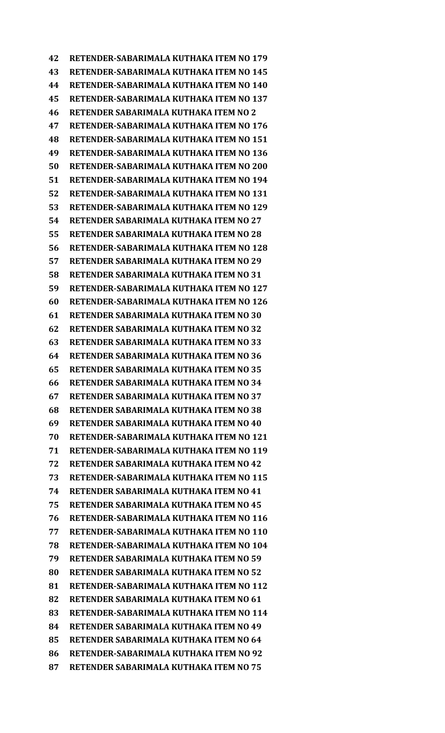**RETENDER-SABARIMALA KUTHAKA ITEM NO 179 RETENDER-SABARIMALA KUTHAKA ITEM NO 145 RETENDER-SABARIMALA KUTHAKA ITEM NO 140 RETENDER-SABARIMALA KUTHAKA ITEM NO 137 RETENDER SABARIMALA KUTHAKA ITEM NO 2 RETENDER-SABARIMALA KUTHAKA ITEM NO 176 RETENDER-SABARIMALA KUTHAKA ITEM NO 151 RETENDER-SABARIMALA KUTHAKA ITEM NO 136 RETENDER-SABARIMALA KUTHAKA ITEM NO 200 RETENDER-SABARIMALA KUTHAKA ITEM NO 194 RETENDER-SABARIMALA KUTHAKA ITEM NO 131 RETENDER-SABARIMALA KUTHAKA ITEM NO 129 RETENDER SABARIMALA KUTHAKA ITEM NO 27 RETENDER SABARIMALA KUTHAKA ITEM NO 28 RETENDER-SABARIMALA KUTHAKA ITEM NO 128 RETENDER SABARIMALA KUTHAKA ITEM NO 29 RETENDER SABARIMALA KUTHAKA ITEM NO 31 RETENDER-SABARIMALA KUTHAKA ITEM NO 127 RETENDER-SABARIMALA KUTHAKA ITEM NO 126 RETENDER SABARIMALA KUTHAKA ITEM NO 30 RETENDER SABARIMALA KUTHAKA ITEM NO 32 RETENDER SABARIMALA KUTHAKA ITEM NO 33 RETENDER SABARIMALA KUTHAKA ITEM NO 36 RETENDER SABARIMALA KUTHAKA ITEM NO 35 RETENDER SABARIMALA KUTHAKA ITEM NO 34 RETENDER SABARIMALA KUTHAKA ITEM NO 37 RETENDER SABARIMALA KUTHAKA ITEM NO 38 RETENDER SABARIMALA KUTHAKA ITEM NO 40 RETENDER-SABARIMALA KUTHAKA ITEM NO 121 RETENDER-SABARIMALA KUTHAKA ITEM NO 119 RETENDER SABARIMALA KUTHAKA ITEM NO 42 RETENDER-SABARIMALA KUTHAKA ITEM NO 115 RETENDER SABARIMALA KUTHAKA ITEM NO 41 RETENDER SABARIMALA KUTHAKA ITEM NO 45 RETENDER-SABARIMALA KUTHAKA ITEM NO 116 RETENDER-SABARIMALA KUTHAKA ITEM NO 110 RETENDER-SABARIMALA KUTHAKA ITEM NO 104 RETENDER SABARIMALA KUTHAKA ITEM NO 59 RETENDER SABARIMALA KUTHAKA ITEM NO 52 RETENDER-SABARIMALA KUTHAKA ITEM NO 112 RETENDER SABARIMALA KUTHAKA ITEM NO 61 RETENDER-SABARIMALA KUTHAKA ITEM NO 114 RETENDER SABARIMALA KUTHAKA ITEM NO 49 RETENDER SABARIMALA KUTHAKA ITEM NO 64 RETENDER-SABARIMALA KUTHAKA ITEM NO 92 RETENDER SABARIMALA KUTHAKA ITEM NO 75**